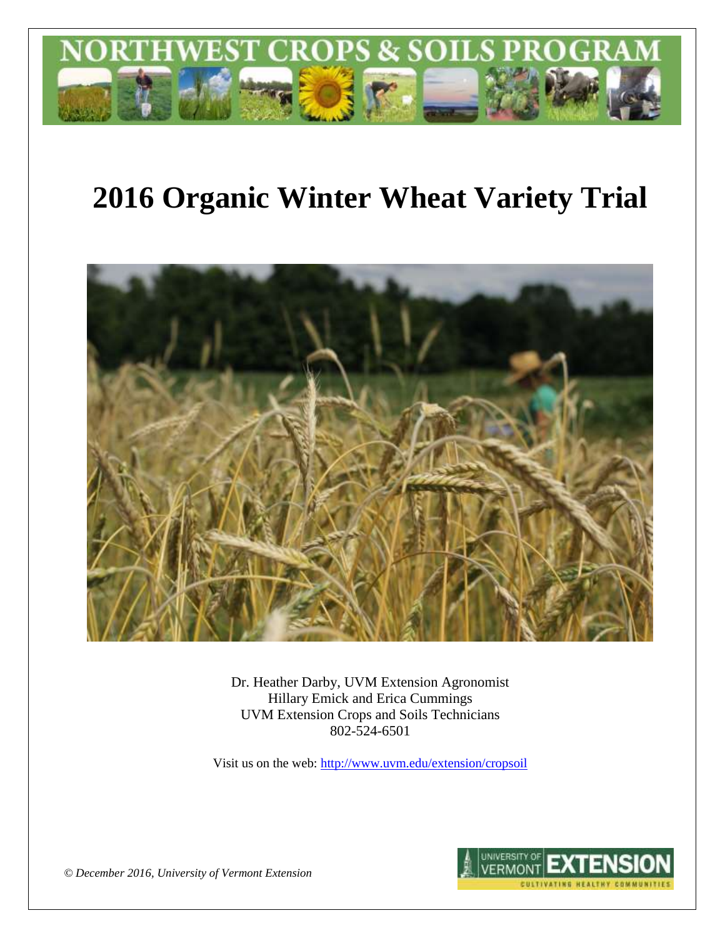

# **2016 Organic Winter Wheat Variety Trial**



Dr. Heather Darby, UVM Extension Agronomist Hillary Emick and Erica Cummings UVM Extension Crops and Soils Technicians 802-524-6501

Visit us on the web[: http://www.uvm.edu/extension/cropsoil](http://www.uvm.edu/extension/cropsoil)



*© December 2016, University of Vermont Extension*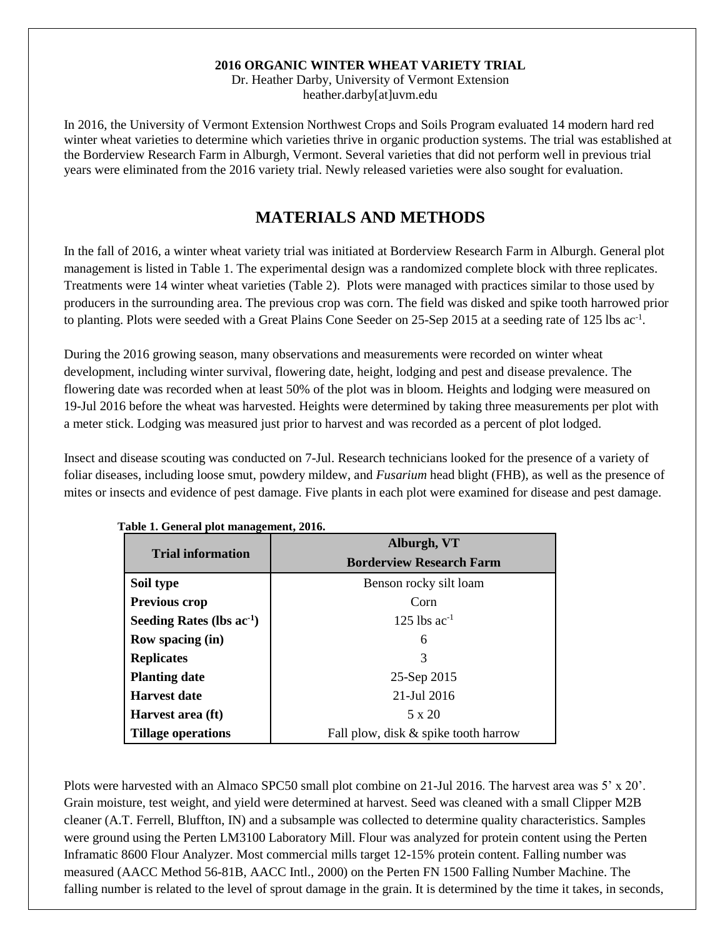#### **2016 ORGANIC WINTER WHEAT VARIETY TRIAL**

Dr. Heather Darby, University of Vermont Extension heather.darby[at]uvm.edu

In 2016, the University of Vermont Extension Northwest Crops and Soils Program evaluated 14 modern hard red winter wheat varieties to determine which varieties thrive in organic production systems. The trial was established at the Borderview Research Farm in Alburgh, Vermont. Several varieties that did not perform well in previous trial years were eliminated from the 2016 variety trial. Newly released varieties were also sought for evaluation.

# **MATERIALS AND METHODS**

In the fall of 2016, a winter wheat variety trial was initiated at Borderview Research Farm in Alburgh. General plot management is listed in Table 1. The experimental design was a randomized complete block with three replicates. Treatments were 14 winter wheat varieties (Table 2). Plots were managed with practices similar to those used by producers in the surrounding area. The previous crop was corn. The field was disked and spike tooth harrowed prior to planting. Plots were seeded with a Great Plains Cone Seeder on 25-Sep 2015 at a seeding rate of 125 lbs ac<sup>-1</sup>.

During the 2016 growing season, many observations and measurements were recorded on winter wheat development, including winter survival, flowering date, height, lodging and pest and disease prevalence. The flowering date was recorded when at least 50% of the plot was in bloom. Heights and lodging were measured on 19-Jul 2016 before the wheat was harvested. Heights were determined by taking three measurements per plot with a meter stick. Lodging was measured just prior to harvest and was recorded as a percent of plot lodged.

Insect and disease scouting was conducted on 7-Jul. Research technicians looked for the presence of a variety of foliar diseases, including loose smut, powdery mildew, and *Fusarium* head blight (FHB), as well as the presence of mites or insects and evidence of pest damage. Five plants in each plot were examined for disease and pest damage.

|                                | Alburgh, VT                          |
|--------------------------------|--------------------------------------|
| <b>Trial information</b>       | <b>Borderview Research Farm</b>      |
| Soil type                      | Benson rocky silt loam               |
| <b>Previous crop</b>           | Corn                                 |
| Seeding Rates (lbs $ac^{-1}$ ) | 125 lbs $ac^{-1}$                    |
| Row spacing (in)               | 6                                    |
| <b>Replicates</b>              | 3                                    |
| <b>Planting date</b>           | 25-Sep 2015                          |
| <b>Harvest date</b>            | 21-Jul 2016                          |
| Harvest area (ft)              | 5 x 20                               |
| Tillage operations             | Fall plow, disk & spike tooth harrow |

**Table 1. General plot management, 2016.**

Plots were harvested with an Almaco SPC50 small plot combine on 21-Jul 2016. The harvest area was 5' x 20'. Grain moisture, test weight, and yield were determined at harvest. Seed was cleaned with a small Clipper M2B cleaner (A.T. Ferrell, Bluffton, IN) and a subsample was collected to determine quality characteristics. Samples were ground using the Perten LM3100 Laboratory Mill. Flour was analyzed for protein content using the Perten Inframatic 8600 Flour Analyzer. Most commercial mills target 12-15% protein content. Falling number was measured (AACC Method 56-81B, AACC Intl., 2000) on the Perten FN 1500 Falling Number Machine. The falling number is related to the level of sprout damage in the grain. It is determined by the time it takes, in seconds,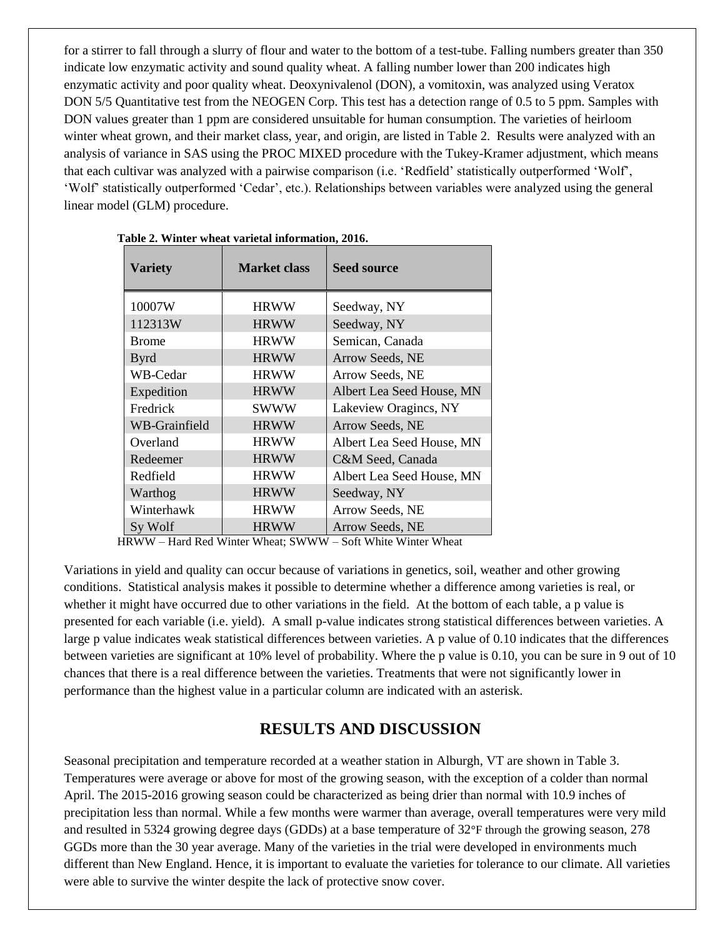for a stirrer to fall through a slurry of flour and water to the bottom of a test-tube. Falling numbers greater than 350 indicate low enzymatic activity and sound quality wheat. A falling number lower than 200 indicates high enzymatic activity and poor quality wheat. Deoxynivalenol (DON), a vomitoxin, was analyzed using Veratox DON 5/5 Quantitative test from the NEOGEN Corp. This test has a detection range of 0.5 to 5 ppm. Samples with DON values greater than 1 ppm are considered unsuitable for human consumption. The varieties of heirloom winter wheat grown, and their market class, year, and origin, are listed in Table 2. Results were analyzed with an analysis of variance in SAS using the PROC MIXED procedure with the Tukey-Kramer adjustment, which means that each cultivar was analyzed with a pairwise comparison (i.e. 'Redfield' statistically outperformed 'Wolf', 'Wolf' statistically outperformed 'Cedar', etc.). Relationships between variables were analyzed using the general linear model (GLM) procedure.

| <b>Variety</b> | <b>Market class</b> | <b>Seed source</b>        |
|----------------|---------------------|---------------------------|
| 10007W         | <b>HRWW</b>         | Seedway, NY               |
| 112313W        | <b>HRWW</b>         | Seedway, NY               |
| <b>Brome</b>   | <b>HRWW</b>         | Semican, Canada           |
| <b>Byrd</b>    | <b>HRWW</b>         | Arrow Seeds, NE           |
| WB-Cedar       | <b>HRWW</b>         | Arrow Seeds, NE           |
| Expedition     | <b>HRWW</b>         | Albert Lea Seed House, MN |
| Fredrick       | <b>SWWW</b>         | Lakeview Oragincs, NY     |
| WB-Grainfield  | <b>HRWW</b>         | Arrow Seeds, NE           |
| Overland       | <b>HRWW</b>         | Albert Lea Seed House, MN |
| Redeemer       | <b>HRWW</b>         | C&M Seed, Canada          |
| Redfield       | <b>HRWW</b>         | Albert Lea Seed House, MN |
| Warthog        | <b>HRWW</b>         | Seedway, NY               |
| Winterhawk     | <b>HRWW</b>         | Arrow Seeds, NE           |
| Sy Wolf        | <b>HRWW</b>         | Arrow Seeds, NE           |

|  |  |  |  | Table 2. Winter wheat varietal information, 2016. |  |
|--|--|--|--|---------------------------------------------------|--|
|--|--|--|--|---------------------------------------------------|--|

HRWW – Hard Red Winter Wheat; SWWW – Soft White Winter Wheat

Variations in yield and quality can occur because of variations in genetics, soil, weather and other growing conditions. Statistical analysis makes it possible to determine whether a difference among varieties is real, or whether it might have occurred due to other variations in the field. At the bottom of each table, a p value is presented for each variable (i.e. yield). A small p-value indicates strong statistical differences between varieties. A large p value indicates weak statistical differences between varieties. A p value of 0.10 indicates that the differences between varieties are significant at 10% level of probability. Where the p value is 0.10, you can be sure in 9 out of 10 chances that there is a real difference between the varieties. Treatments that were not significantly lower in performance than the highest value in a particular column are indicated with an asterisk.

### **RESULTS AND DISCUSSION**

Seasonal precipitation and temperature recorded at a weather station in Alburgh, VT are shown in Table 3. Temperatures were average or above for most of the growing season, with the exception of a colder than normal April. The 2015-2016 growing season could be characterized as being drier than normal with 10.9 inches of precipitation less than normal. While a few months were warmer than average, overall temperatures were very mild and resulted in 5324 growing degree days (GDDs) at a base temperature of 32°F through the growing season, 278 GGDs more than the 30 year average. Many of the varieties in the trial were developed in environments much different than New England. Hence, it is important to evaluate the varieties for tolerance to our climate. All varieties were able to survive the winter despite the lack of protective snow cover.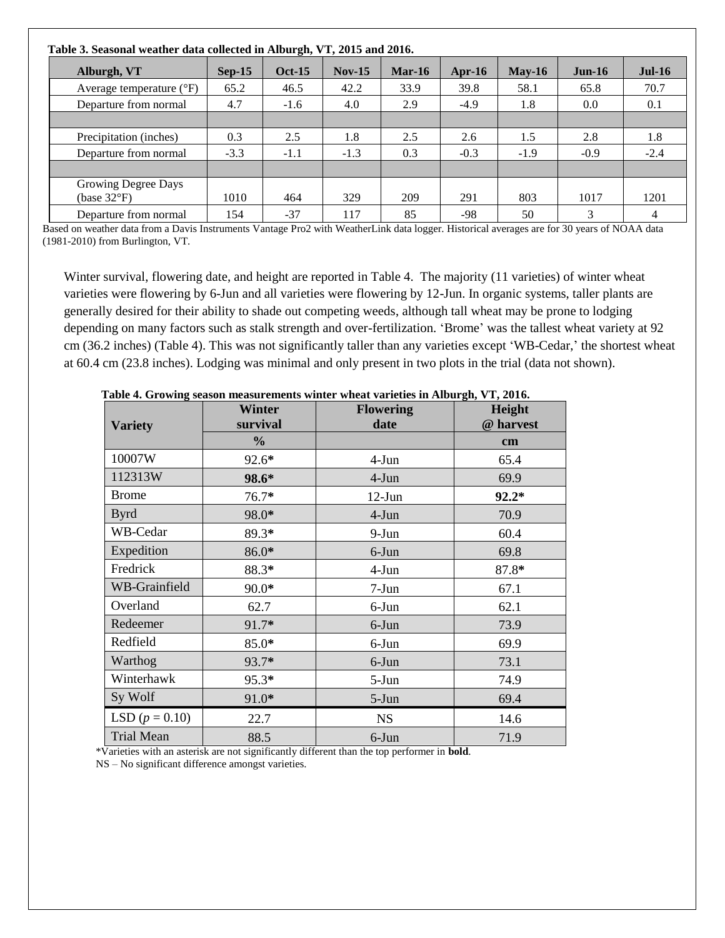| Table 3. Seasonal weather data collected in Alburgh, VT, 2015 and 2016. |          |               |          |          |        |          |          |                |
|-------------------------------------------------------------------------|----------|---------------|----------|----------|--------|----------|----------|----------------|
| Alburgh, VT                                                             | $Sep-15$ | <b>Oct-15</b> | $Nov-15$ | $Mar-16$ | Apr-16 | $Mav-16$ | $Jun-16$ | $Jul-16$       |
| Average temperature $({}^{\circ}F)$                                     | 65.2     | 46.5          | 42.2     | 33.9     | 39.8   | 58.1     | 65.8     | 70.7           |
| Departure from normal                                                   | 4.7      | $-1.6$        | 4.0      | 2.9      | $-4.9$ | 1.8      | 0.0      | 0.1            |
|                                                                         |          |               |          |          |        |          |          |                |
| Precipitation (inches)                                                  | 0.3      | 2.5           | 1.8      | 2.5      | 2.6    | 1.5      | 2.8      | 1.8            |
| Departure from normal                                                   | $-3.3$   | $-1.1$        | $-1.3$   | 0.3      | $-0.3$ | $-1.9$   | $-0.9$   | $-2.4$         |
|                                                                         |          |               |          |          |        |          |          |                |
| Growing Degree Days<br>(base $32^{\circ}F$ )                            | 1010     | 464           | 329      | 209      | 291    | 803      | 1017     | 1201           |
| Departure from normal                                                   | 154      | $-37$         | 117      | 85       | $-98$  | 50       | 3        | $\overline{4}$ |

Based on weather data from a Davis Instruments Vantage Pro2 with WeatherLink data logger. Historical averages are for 30 years of NOAA data (1981-2010) from Burlington, VT.

Winter survival, flowering date, and height are reported in Table 4. The majority (11 varieties) of winter wheat varieties were flowering by 6-Jun and all varieties were flowering by 12-Jun. In organic systems, taller plants are generally desired for their ability to shade out competing weeds, although tall wheat may be prone to lodging depending on many factors such as stalk strength and over-fertilization. 'Brome' was the tallest wheat variety at 92 cm (36.2 inches) (Table 4). This was not significantly taller than any varieties except 'WB-Cedar,' the shortest wheat at 60.4 cm (23.8 inches). Lodging was minimal and only present in two plots in the trial (data not shown).

|                      | <b>Winter</b><br>survival | <b>Flowering</b><br>date | $5 - 7 - 7 - 7 - 0$<br>Height<br>@ harvest |
|----------------------|---------------------------|--------------------------|--------------------------------------------|
| <b>Variety</b>       | $\frac{6}{9}$             |                          | cm                                         |
| 10007W               | 92.6*                     | $4-Jun$                  | 65.4                                       |
| 112313W              | 98.6*                     | 4-Jun                    | 69.9                                       |
| <b>Brome</b>         | 76.7*                     | $12-Jun$                 | $92.2*$                                    |
| <b>Byrd</b>          | 98.0*                     | 4-Jun                    | 70.9                                       |
| WB-Cedar             | 89.3*                     | $9-Jun$                  | 60.4                                       |
| Expedition           | 86.0*                     | 6-Jun                    | 69.8                                       |
| Fredrick             | 88.3*                     | 4-Jun                    | 87.8*                                      |
| <b>WB-Grainfield</b> | 90.0*                     | $7-Jun$                  | 67.1                                       |
| Overland             | 62.7                      | 6-Jun                    | 62.1                                       |
| Redeemer             | 91.7*                     | 6-Jun                    | 73.9                                       |
| Redfield             | 85.0*                     | $6$ -Jun                 | 69.9                                       |
| Warthog              | 93.7*                     | 6-Jun                    | 73.1                                       |
| Winterhawk           | 95.3*                     | $5-Jun$                  | 74.9                                       |
| Sy Wolf              | 91.0*                     | 5-Jun                    | 69.4                                       |
| LSD $(p = 0.10)$     | 22.7                      | <b>NS</b>                | 14.6                                       |
| <b>Trial Mean</b>    | 88.5                      | 6-Jun                    | 71.9                                       |

**Table 4. Growing season measurements winter wheat varieties in Alburgh, VT, 2016.** 

\*Varieties with an asterisk are not significantly different than the top performer in **bold**.

NS – No significant difference amongst varieties.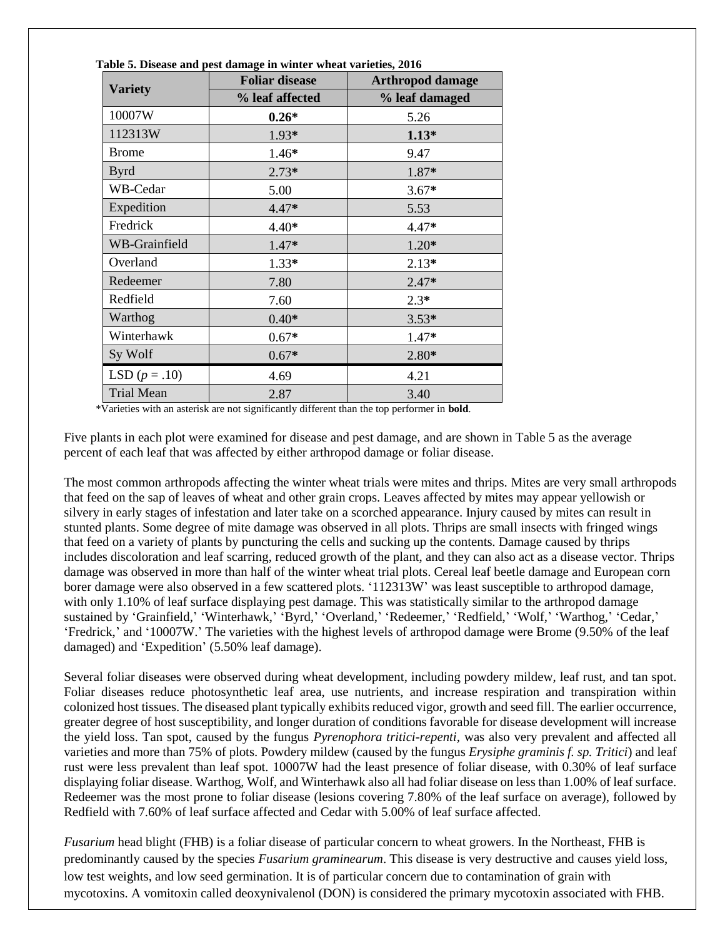|                   | <b>Foliar disease</b> | <b>Arthropod damage</b> |
|-------------------|-----------------------|-------------------------|
| <b>Variety</b>    | % leaf affected       | % leaf damaged          |
| 10007W            | $0.26*$               | 5.26                    |
| 112313W           | 1.93*                 | $1.13*$                 |
| <b>Brome</b>      | $1.46*$               | 9.47                    |
| <b>Byrd</b>       | $2.73*$               | 1.87*                   |
| WB-Cedar          | 5.00                  | $3.67*$                 |
| Expedition        | $4.47*$               | 5.53                    |
| Fredrick          | $4.40*$               | $4.47*$                 |
| WB-Grainfield     | 1.47*                 | $1.20*$                 |
| Overland          | $1.33*$               | $2.13*$                 |
| Redeemer          | 7.80                  | $2.47*$                 |
| Redfield          | 7.60                  | $2.3*$                  |
| Warthog           | $0.40*$               | $3.53*$                 |
| Winterhawk        | $0.67*$               | 1.47*                   |
| Sy Wolf           | $0.67*$               | $2.80*$                 |
| LSD $(p=.10)$     | 4.69                  | 4.21                    |
| <b>Trial Mean</b> | 2.87                  | 3.40                    |

**Table 5. Disease and pest damage in winter wheat varieties, 2016**

\*Varieties with an asterisk are not significantly different than the top performer in **bold**.

Five plants in each plot were examined for disease and pest damage, and are shown in Table 5 as the average percent of each leaf that was affected by either arthropod damage or foliar disease.

The most common arthropods affecting the winter wheat trials were mites and thrips. Mites are very small arthropods that feed on the sap of leaves of wheat and other grain crops. Leaves affected by mites may appear yellowish or silvery in early stages of infestation and later take on a scorched appearance. Injury caused by mites can result in stunted plants. Some degree of mite damage was observed in all plots. Thrips are small insects with fringed wings that feed on a variety of plants by puncturing the cells and sucking up the contents. Damage caused by thrips includes discoloration and leaf scarring, reduced growth of the plant, and they can also act as a disease vector. Thrips damage was observed in more than half of the winter wheat trial plots. Cereal leaf beetle damage and European corn borer damage were also observed in a few scattered plots. '112313W' was least susceptible to arthropod damage, with only 1.10% of leaf surface displaying pest damage. This was statistically similar to the arthropod damage sustained by 'Grainfield,' 'Winterhawk,' 'Byrd,' 'Overland,' 'Redeemer,' 'Redfield,' 'Wolf,' 'Warthog,' 'Cedar,' 'Fredrick,' and '10007W.' The varieties with the highest levels of arthropod damage were Brome (9.50% of the leaf damaged) and 'Expedition' (5.50% leaf damage).

Several foliar diseases were observed during wheat development, including powdery mildew, leaf rust, and tan spot. Foliar diseases reduce photosynthetic leaf area, use nutrients, and increase respiration and transpiration within colonized host tissues. The diseased plant typically exhibits reduced vigor, growth and seed fill. The earlier occurrence, greater degree of host susceptibility, and longer duration of conditions favorable for disease development will increase the yield loss. Tan spot, caused by the fungus *Pyrenophora tritici-repenti,* was also very prevalent and affected all varieties and more than 75% of plots. Powdery mildew (caused by the fungus *Erysiphe graminis f. sp. Tritici*) and leaf rust were less prevalent than leaf spot. 10007W had the least presence of foliar disease, with 0.30% of leaf surface displaying foliar disease. Warthog, Wolf, and Winterhawk also all had foliar disease on less than 1.00% of leaf surface. Redeemer was the most prone to foliar disease (lesions covering 7.80% of the leaf surface on average), followed by Redfield with 7.60% of leaf surface affected and Cedar with 5.00% of leaf surface affected.

*Fusarium* head blight (FHB) is a foliar disease of particular concern to wheat growers. In the Northeast, FHB is predominantly caused by the species *Fusarium graminearum*. This disease is very destructive and causes yield loss, low test weights, and low seed germination. It is of particular concern due to contamination of grain with mycotoxins. A vomitoxin called deoxynivalenol (DON) is considered the primary mycotoxin associated with FHB.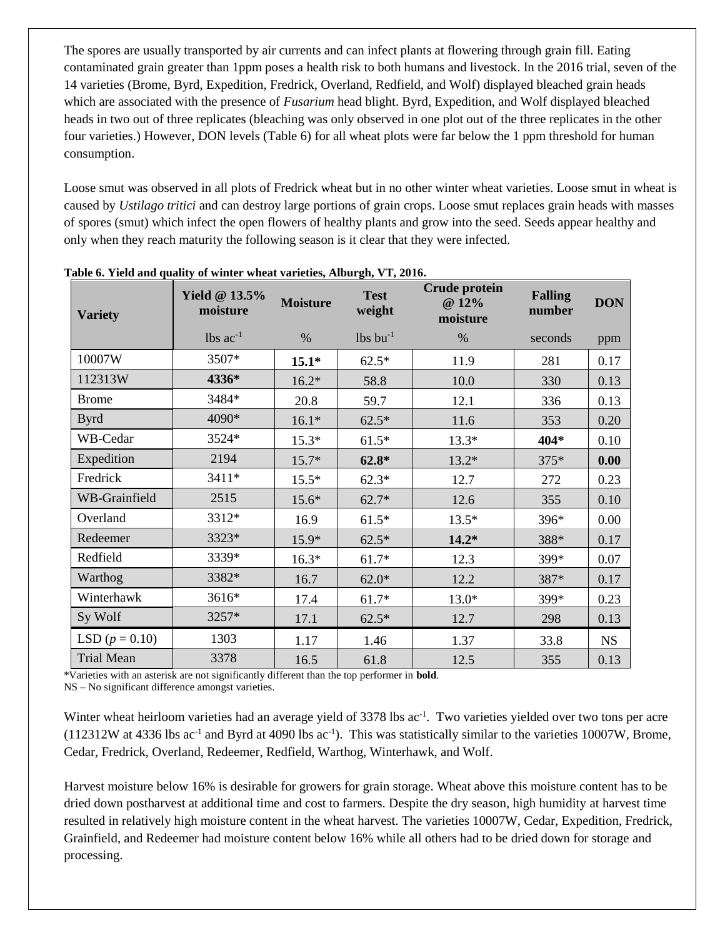The spores are usually transported by air currents and can infect plants at flowering through grain fill. Eating contaminated grain greater than 1ppm poses a health risk to both humans and livestock. In the 2016 trial, seven of the 14 varieties (Brome, Byrd, Expedition, Fredrick, Overland, Redfield, and Wolf) displayed bleached grain heads which are associated with the presence of *Fusarium* head blight. Byrd, Expedition, and Wolf displayed bleached heads in two out of three replicates (bleaching was only observed in one plot out of the three replicates in the other four varieties.) However, DON levels (Table 6) for all wheat plots were far below the 1 ppm threshold for human consumption.

Loose smut was observed in all plots of Fredrick wheat but in no other winter wheat varieties. Loose smut in wheat is caused by *Ustilago tritici* and can destroy large portions of grain crops. Loose smut replaces [grain heads](https://en.wikipedia.org/wiki/Head_(botany)) with masses of [spores](https://en.wikipedia.org/wiki/Spore) (smut) which infect the open flowers of healthy plants and grow into the seed. Seeds appear healthy and only when they reach maturity the following season is it clear that they were infected.

| <b>Variety</b>    | <b>Yield @ 13.5%</b><br>moisture | <b>Moisture</b> | <b>Test</b><br>weight  | <b>Crude protein</b><br>@ 12%<br>moisture | <b>Falling</b><br>number | <b>DON</b> |
|-------------------|----------------------------------|-----------------|------------------------|-------------------------------------------|--------------------------|------------|
|                   | $lbs$ ac <sup>-1</sup>           | $\%$            | $lbs$ bu <sup>-1</sup> | $\%$                                      | seconds                  | ppm        |
| 10007W            | 3507*                            | $15.1*$         | $62.5*$                | 11.9                                      | 281                      | 0.17       |
| 112313W           | 4336*                            | $16.2*$         | 58.8                   | 10.0                                      | 330                      | 0.13       |
| <b>Brome</b>      | 3484*                            | 20.8            | 59.7                   | 12.1                                      | 336                      | 0.13       |
| <b>Byrd</b>       | 4090*                            | $16.1*$         | $62.5*$                | 11.6                                      | 353                      | 0.20       |
| WB-Cedar          | 3524*                            | $15.3*$         | $61.5*$                | $13.3*$                                   | 404*                     | 0.10       |
| Expedition        | 2194                             | $15.7*$         | $62.8*$                | $13.2*$                                   | 375*                     | 0.00       |
| Fredrick          | 3411*                            | $15.5*$         | $62.3*$                | 12.7                                      | 272                      | 0.23       |
| WB-Grainfield     | 2515                             | $15.6*$         | $62.7*$                | 12.6                                      | 355                      | 0.10       |
| Overland          | 3312*                            | 16.9            | $61.5*$                | $13.5*$                                   | 396*                     | 0.00       |
| Redeemer          | 3323*                            | $15.9*$         | $62.5*$                | $14.2*$                                   | 388*                     | 0.17       |
| Redfield          | 3339*                            | $16.3*$         | $61.7*$                | 12.3                                      | 399*                     | 0.07       |
| Warthog           | 3382*                            | 16.7            | $62.0*$                | 12.2                                      | 387*                     | 0.17       |
| Winterhawk        | 3616*                            | 17.4            | $61.7*$                | $13.0*$                                   | 399*                     | 0.23       |
| Sy Wolf           | 3257*                            | 17.1            | $62.5*$                | 12.7                                      | 298                      | 0.13       |
| LSD $(p = 0.10)$  | 1303                             | 1.17            | 1.46                   | 1.37                                      | 33.8                     | <b>NS</b>  |
| <b>Trial Mean</b> | 3378                             | 16.5            | 61.8                   | 12.5                                      | 355                      | 0.13       |

| Table 6. Yield and quality of winter wheat varieties, Alburgh, VT, 2016. |
|--------------------------------------------------------------------------|
|--------------------------------------------------------------------------|

\*Varieties with an asterisk are not significantly different than the top performer in **bold**.

NS – No significant difference amongst varieties.

Winter wheat heirloom varieties had an average yield of 3378 lbs ac<sup>-1</sup>. Two varieties yielded over two tons per acre  $(112312W$  at 4336 lbs ac<sup>-1</sup> and Byrd at 4090 lbs ac<sup>-1</sup>). This was statistically similar to the varieties 10007W, Brome, Cedar, Fredrick, Overland, Redeemer, Redfield, Warthog, Winterhawk, and Wolf.

Harvest moisture below 16% is desirable for growers for grain storage. Wheat above this moisture content has to be dried down postharvest at additional time and cost to farmers. Despite the dry season, high humidity at harvest time resulted in relatively high moisture content in the wheat harvest. The varieties 10007W, Cedar, Expedition, Fredrick, Grainfield, and Redeemer had moisture content below 16% while all others had to be dried down for storage and processing.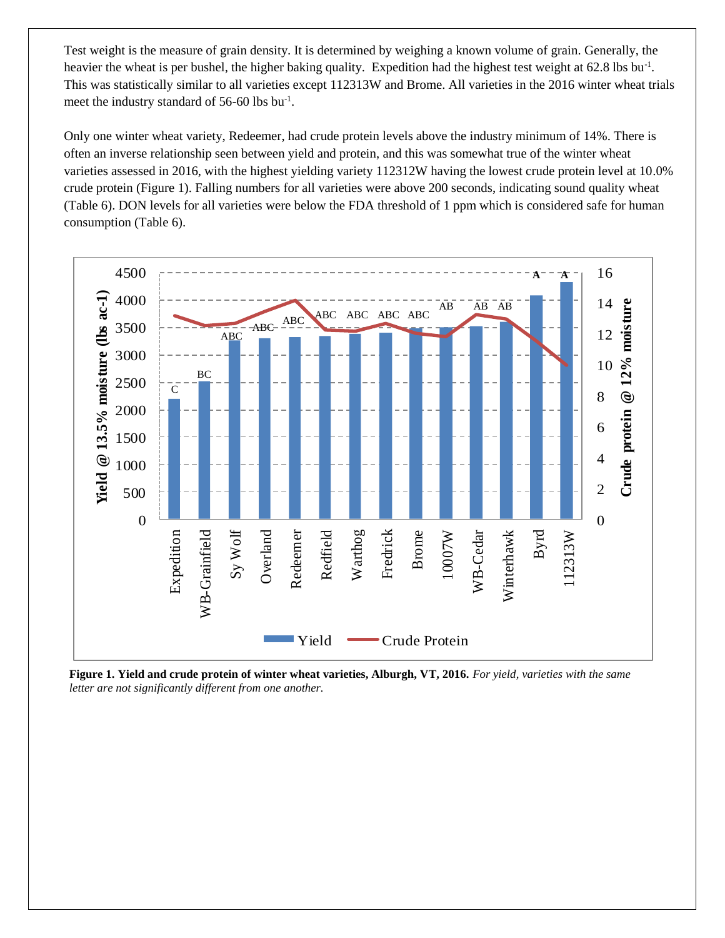Test weight is the measure of grain density. It is determined by weighing a known volume of grain. Generally, the heavier the wheat is per bushel, the higher baking quality. Expedition had the highest test weight at 62.8 lbs bu<sup>-1</sup>. This was statistically similar to all varieties except 112313W and Brome. All varieties in the 2016 winter wheat trials meet the industry standard of 56-60 lbs bu<sup>-1</sup>.

Only one winter wheat variety, Redeemer, had crude protein levels above the industry minimum of 14%. There is often an inverse relationship seen between yield and protein, and this was somewhat true of the winter wheat varieties assessed in 2016, with the highest yielding variety 112312W having the lowest crude protein level at 10.0% crude protein (Figure 1). Falling numbers for all varieties were above 200 seconds, indicating sound quality wheat (Table 6). DON levels for all varieties were below the FDA threshold of 1 ppm which is considered safe for human consumption (Table 6).



**Figure 1. Yield and crude protein of winter wheat varieties, Alburgh, VT, 2016.** *For yield, varieties with the same letter are not significantly different from one another.*